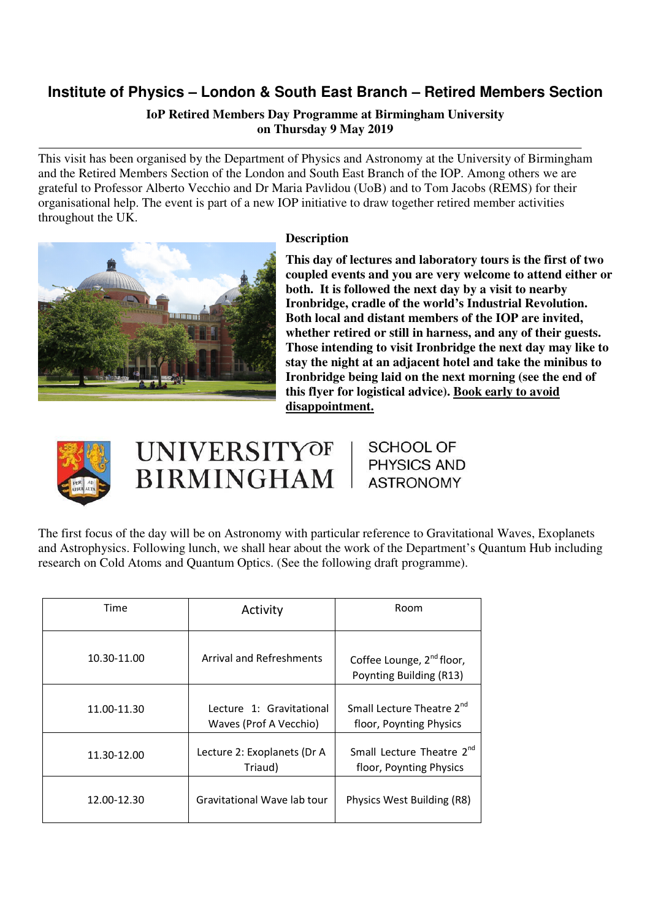# **Institute of Physics – London & South East Branch – Retired Members Section**

# **IoP Retired Members Day Programme at Birmingham University on Thursday 9 May 2019**

This visit has been organised by the Department of Physics and Astronomy at the University of Birmingham and the Retired Members Section of the London and South East Branch of the IOP. Among others we are grateful to Professor Alberto Vecchio and Dr Maria Pavlidou (UoB) and to Tom Jacobs (REMS) for their organisational help. The event is part of a new IOP initiative to draw together retired member activities throughout the UK.



# **Description**

**This day of lectures and laboratory tours is the first of two coupled events and you are very welcome to attend either or both. It is followed the next day by a visit to nearby Ironbridge, cradle of the world's Industrial Revolution. Both local and distant members of the IOP are invited, whether retired or still in harness, and any of their guests. Those intending to visit Ironbridge the next day may like to stay the night at an adjacent hotel and take the minibus to Ironbridge being laid on the next morning (see the end of this flyer for logistical advice). Book early to avoid disappointment.** 



# **UNIVERSITYOF BIRMINGHAM**

**SCHOOL OF PHYSICS AND ASTRONOMY** 

The first focus of the day will be on Astronomy with particular reference to Gravitational Waves, Exoplanets and Astrophysics. Following lunch, we shall hear about the work of the Department's Quantum Hub including research on Cold Atoms and Quantum Optics. (See the following draft programme).

| Time        | Activity                                           | Room                                                             |
|-------------|----------------------------------------------------|------------------------------------------------------------------|
| 10.30-11.00 | Arrival and Refreshments                           | Coffee Lounge, 2 <sup>nd</sup> floor,<br>Poynting Building (R13) |
| 11.00-11.30 | Lecture 1: Gravitational<br>Waves (Prof A Vecchio) | Small Lecture Theatre 2 <sup>nd</sup><br>floor, Poynting Physics |
| 11.30-12.00 | Lecture 2: Exoplanets (Dr A<br>Triaud)             | Small Lecture Theatre 2 <sup>nd</sup><br>floor, Poynting Physics |
| 12.00-12.30 | Gravitational Wave lab tour                        | Physics West Building (R8)                                       |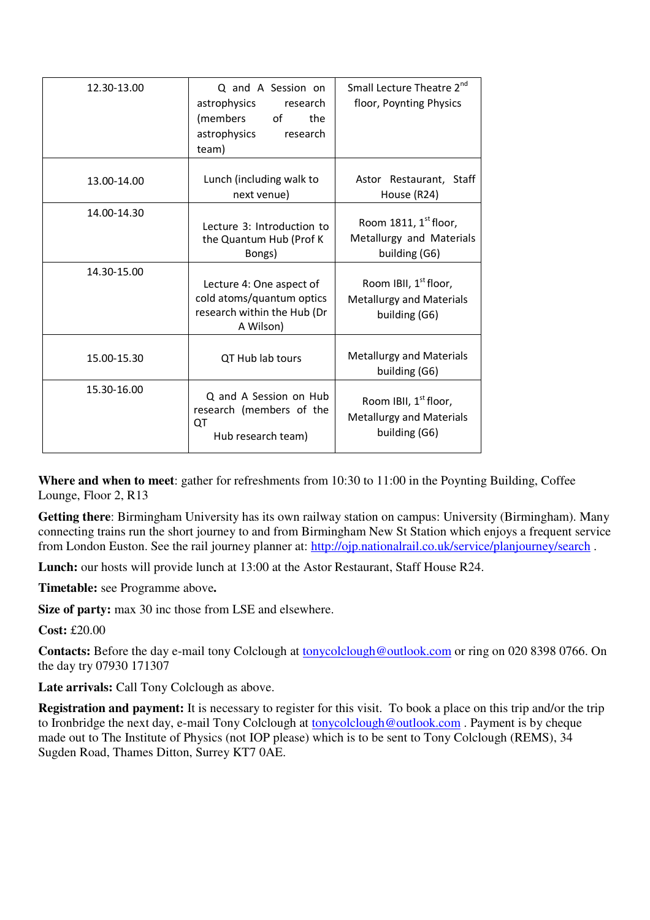| 12.30-13.00 | Q and A Session on<br>astrophysics<br>research<br>(members of<br>the<br>astrophysics<br>research<br>team) | Small Lecture Theatre 2 <sup>nd</sup><br>floor, Poynting Physics                      |
|-------------|-----------------------------------------------------------------------------------------------------------|---------------------------------------------------------------------------------------|
| 13.00-14.00 | Lunch (including walk to<br>next venue)                                                                   | Astor Restaurant, Staff<br>House (R24)                                                |
| 14.00-14.30 | Lecture 3: Introduction to<br>the Quantum Hub (Prof K)<br>Bongs)                                          | Room 1811, $1st$ floor,<br>Metallurgy and Materials<br>building (G6)                  |
| 14.30-15.00 | Lecture 4: One aspect of<br>cold atoms/quantum optics<br>research within the Hub (Dr<br>A Wilson)         | Room IBII, 1 <sup>st</sup> floor,<br><b>Metallurgy and Materials</b><br>building (G6) |
| 15.00-15.30 | QT Hub lab tours                                                                                          | <b>Metallurgy and Materials</b><br>building (G6)                                      |
| 15.30-16.00 | Q and A Session on Hub<br>research (members of the<br>QT<br>Hub research team)                            | Room IBII, 1 <sup>st</sup> floor,<br><b>Metallurgy and Materials</b><br>building (G6) |

**Where and when to meet**: gather for refreshments from 10:30 to 11:00 in the Poynting Building, Coffee Lounge, Floor 2, R13

**Getting there**: Birmingham University has its own railway station on campus: University (Birmingham). Many connecting trains run the short journey to and from Birmingham New St Station which enjoys a frequent service from London Euston. See the rail journey planner at: http://ojp.nationalrail.co.uk/service/planjourney/search.

Lunch: our hosts will provide lunch at 13:00 at the Astor Restaurant, Staff House R24.

**Timetable:** see Programme above**.**

Size of party: max 30 inc those from LSE and elsewhere.

**Cost:** £20.00

**Contacts:** Before the day e-mail tony Colclough at tonycolclough@outlook.com or ring on 020 8398 0766. On the day try 07930 171307

Late arrivals: Call Tony Colclough as above.

**Registration and payment:** It is necessary to register for this visit. To book a place on this trip and/or the trip to Ironbridge the next day, e-mail Tony Colclough at tonycolclough@outlook.com . Payment is by cheque made out to The Institute of Physics (not IOP please) which is to be sent to Tony Colclough (REMS), 34 Sugden Road, Thames Ditton, Surrey KT7 0AE.